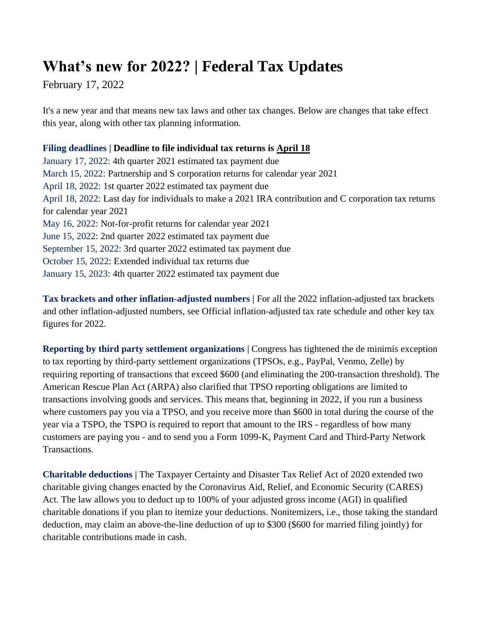## **What's new for 2022? | Federal Tax Updates**

February 17, 2022

It's a new year and that means new tax laws and other tax changes. Below are changes that take effect this year, along with other tax planning information.

## **Filing deadlines | Deadline to file individual tax returns is April 18**

January 17, 2022: 4th quarter 2021 estimated tax payment due March 15, 2022: Partnership and S corporation returns for calendar year 2021 April 18, 2022: 1st quarter 2022 estimated tax payment due April 18, 2022: Last day for individuals to make a 2021 IRA contribution and C corporation tax returns for calendar year 2021 May 16, 2022: Not-for-profit returns for calendar year 2021 June 15, 2022: 2nd quarter 2022 estimated tax payment due September 15, 2022: 3rd quarter 2022 estimated tax payment due October 15, 2022: Extended individual tax returns due January 15, 2023: 4th quarter 2022 estimated tax payment due

**Tax brackets and other inflation-adjusted numbers |** For all the 2022 inflation-adjusted tax brackets and other inflation-adjusted numbers, see Official inflation-adjusted tax rate schedule and other key tax figures for 2022.

**Reporting by third party settlement organizations |** Congress has tightened the de minimis exception to tax reporting by third-party settlement organizations (TPSOs, e.g., PayPal, Venmo, Zelle) by requiring reporting of transactions that exceed \$600 (and eliminating the 200-transaction threshold). The American Rescue Plan Act (ARPA) also clarified that TPSO reporting obligations are limited to transactions involving goods and services. This means that, beginning in 2022, if you run a business where customers pay you via a TPSO, and you receive more than \$600 in total during the course of the year via a TSPO, the TSPO is required to report that amount to the IRS - regardless of how many customers are paying you - and to send you a Form 1099-K, Payment Card and Third-Party Network Transactions.

**Charitable deductions |** The Taxpayer Certainty and Disaster Tax Relief Act of 2020 extended two charitable giving changes enacted by the Coronavirus Aid, Relief, and Economic Security (CARES) Act. The law allows you to deduct up to 100% of your adjusted gross income (AGI) in qualified charitable donations if you plan to itemize your deductions. Nonitemizers, i.e., those taking the standard deduction, may claim an above-the-line deduction of up to \$300 (\$600 for married filing jointly) for charitable contributions made in cash.